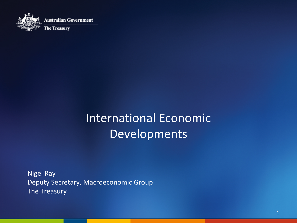

### International Economic Developments

Nigel Ray Deputy Secretary, Macroeconomic Group The Treasury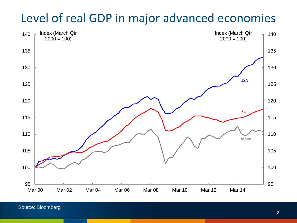#### Level of real GDP in major advanced economies



Source: Bloomberg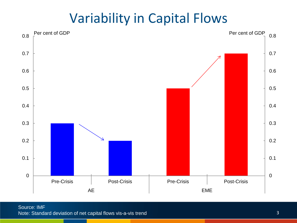## Variability in Capital Flows

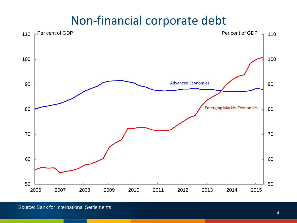#### Non-financial corporate debt

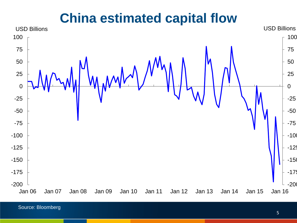#### **China estimated capital flow**



Source: Bloomberg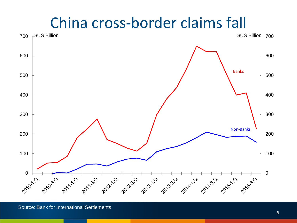# China cross-border claims fall

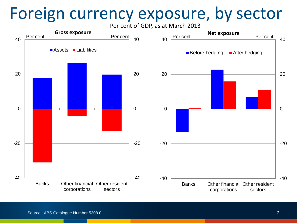# Foreign currency exposure, by sector

Per cent of GDP, as at March 2013

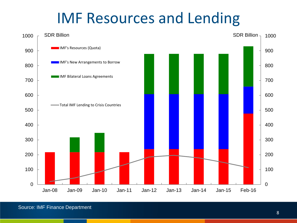# IMF Resources and Lending